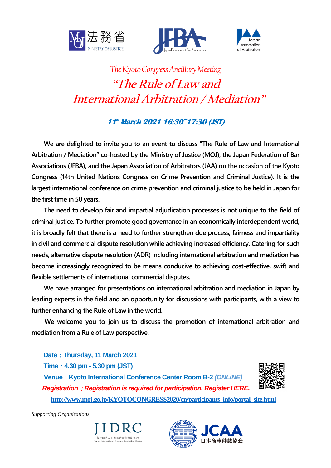





# *The Kyoto Congress Ancillary Meeting* **"The Rule of Law and International Arbitration / Mediation"**

# **11 th March 2021 16:30~17:30 (JST)**

**We are delighted to invite you to an event to discuss "The Rule of Law and International Arbitration / Mediation" co-hosted by the Ministry of Justice (MOJ), the Japan Federation of Bar Associations (JFBA), and the Japan Association of Arbitrators (JAA) on the occasion of the Kyoto Congress (14th United Nations Congress on Crime Prevention and Criminal Justice). It is the largest international conference on crime prevention and criminal justice to be held in Japan for the first time in 50 years.**

**The need to develop fair and impartial adjudication processes is not unique to the field of criminal justice. To further promote good governance in an economically interdependent world, it is broadly felt that there is a need to further strengthen due process, fairness and impartiality in civil and commercial dispute resolution while achieving increased efficiency. Catering for such needs, alternative dispute resolution (ADR) including international arbitration and mediation has become increasingly recognized to be means conducive to achieving cost-effective, swift and flexible settlements of international commercial disputes.**

**We have arranged for presentations on international arbitration and mediation in Japan by leading experts in the field and an opportunity for discussions with participants, with a view to further enhancing the Rule of Law in the world.**

 **We welcome you to join us to discuss the promotion of international arbitration and mediation from a Rule of Law perspective.**

**Date**:**Thursday, 11 March 2021 Time**:**4.30 pm - 5.30 pm (JST) Venue**:**Kyoto International Conference Center Room B-2** *(ONLINE) Registration*:*Registration is required for participation. Register HERE.* **[http://www.moj.go.jp/KYOTOCONGRESS2020/en/participants\\_info/portal\\_site.html](http://www.moj.go.jp/KYOTOCONGRESS2020/en/participants_info/portal_site.html)**



*Supporting Organizations*